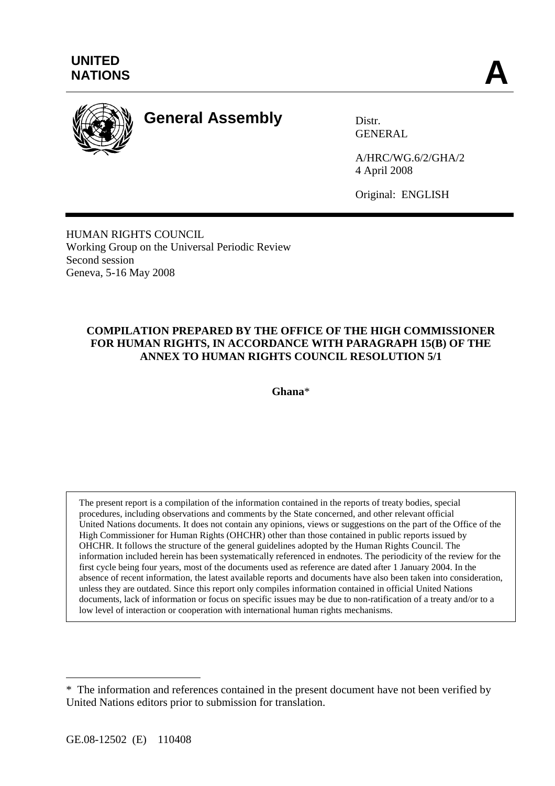

# **General Assembly** Distr.

GENERAL

A/HRC/WG.6/2/GHA/2 4 April 2008

Original: ENGLISH

HUMAN RIGHTS COUNCIL Working Group on the Universal Periodic Review Second session Geneva, 5-16 May 2008

## **COMPILATION PREPARED BY THE OFFICE OF THE HIGH COMMISSIONER FOR HUMAN RIGHTS, IN ACCORDANCE WITH PARAGRAPH 15(B) OF THE ANNEX TO HUMAN RIGHTS COUNCIL RESOLUTION 5/1**

**Ghana**\*

The present report is a compilation of the information contained in the reports of treaty bodies, special procedures, including observations and comments by the State concerned, and other relevant official United Nations documents. It does not contain any opinions, views or suggestions on the part of the Office of the High Commissioner for Human Rights (OHCHR) other than those contained in public reports issued by OHCHR. It follows the structure of the general guidelines adopted by the Human Rights Council. The information included herein has been systematically referenced in endnotes. The periodicity of the review for the first cycle being four years, most of the documents used as reference are dated after 1 January 2004. In the absence of recent information, the latest available reports and documents have also been taken into consideration, unless they are outdated. Since this report only compiles information contained in official United Nations documents, lack of information or focus on specific issues may be due to non-ratification of a treaty and/or to a low level of interaction or cooperation with international human rights mechanisms.

 $\overline{a}$ 

<sup>\*</sup> The information and references contained in the present document have not been verified by United Nations editors prior to submission for translation.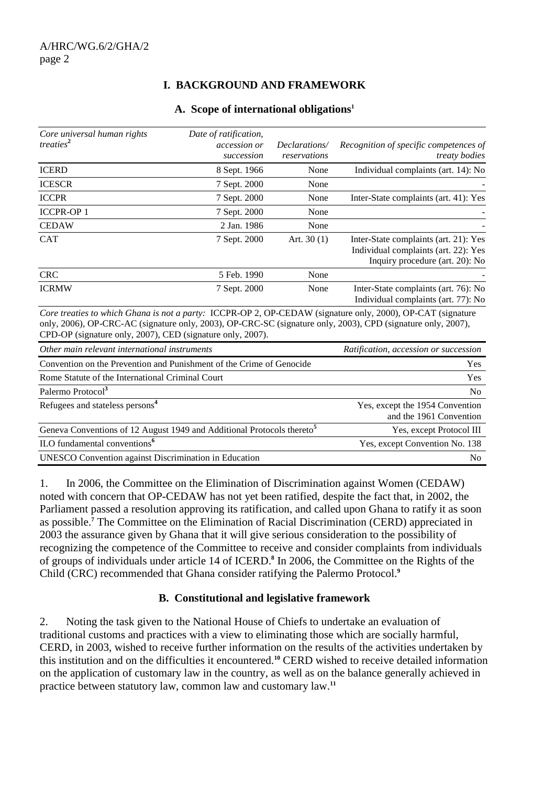## **I. BACKGROUND AND FRAMEWORK**

#### **A. Scope of international obligations1**

| Core universal human rights<br>treaties <sup>2</sup>       | Date of ratification,<br>accession or<br>succession | Declarations/<br>reservations | Recognition of specific competences of<br><i>treaty bodies</i>                                                                                                                                                              |
|------------------------------------------------------------|-----------------------------------------------------|-------------------------------|-----------------------------------------------------------------------------------------------------------------------------------------------------------------------------------------------------------------------------|
| <b>ICERD</b>                                               | 8 Sept. 1966                                        | None                          | Individual complaints (art. 14): No                                                                                                                                                                                         |
| <b>ICESCR</b>                                              | 7 Sept. 2000                                        | None                          |                                                                                                                                                                                                                             |
| <b>ICCPR</b>                                               | 7 Sept. 2000                                        | None                          | Inter-State complaints (art. 41): Yes                                                                                                                                                                                       |
| <b>ICCPR-OP1</b>                                           | 7 Sept. 2000                                        | None                          |                                                                                                                                                                                                                             |
| <b>CEDAW</b>                                               | 2 Jan. 1986                                         | None                          |                                                                                                                                                                                                                             |
| <b>CAT</b>                                                 | 7 Sept. 2000                                        | Art. $30(1)$                  | Inter-State complaints (art. 21): Yes<br>Individual complaints (art. 22): Yes<br>Inquiry procedure (art. 20): No                                                                                                            |
| <b>CRC</b>                                                 | 5 Feb. 1990                                         | None                          |                                                                                                                                                                                                                             |
| <b>ICRMW</b>                                               | 7 Sept. 2000                                        | None                          | Inter-State complaints (art. 76): No<br>Individual complaints (art. 77): No                                                                                                                                                 |
| CPD-OP (signature only, 2007), CED (signature only, 2007). |                                                     |                               | Core treaties to which Ghana is not a party: ICCPR-OP 2, OP-CEDAW (signature only, 2000), OP-CAT (signature<br>only, 2006), OP-CRC-AC (signature only, 2003), OP-CRC-SC (signature only, 2003), CPD (signature only, 2007), |

| Other main relevant international instruments                                      | Ratification, accession or succession                      |
|------------------------------------------------------------------------------------|------------------------------------------------------------|
| Convention on the Prevention and Punishment of the Crime of Genocide               | Yes                                                        |
| Rome Statute of the International Criminal Court                                   | Yes                                                        |
| Palermo Protocol <sup>3</sup>                                                      | N <sub>0</sub>                                             |
| Refugees and stateless persons <sup>4</sup>                                        | Yes, except the 1954 Convention<br>and the 1961 Convention |
| Geneva Conventions of 12 August 1949 and Additional Protocols thereto <sup>5</sup> | Yes, except Protocol III                                   |
| ILO fundamental conventions <sup>6</sup>                                           | Yes, except Convention No. 138                             |
| <b>UNESCO</b> Convention against Discrimination in Education                       | N <sub>0</sub>                                             |

1. In 2006, the Committee on the Elimination of Discrimination against Women (CEDAW) noted with concern that OP-CEDAW has not yet been ratified, despite the fact that, in 2002, the Parliament passed a resolution approving its ratification, and called upon Ghana to ratify it as soon as possible.**<sup>7</sup>** The Committee on the Elimination of Racial Discrimination (CERD) appreciated in 2003 the assurance given by Ghana that it will give serious consideration to the possibility of recognizing the competence of the Committee to receive and consider complaints from individuals of groups of individuals under article 14 of ICERD.**<sup>8</sup>** In 2006, the Committee on the Rights of the Child (CRC) recommended that Ghana consider ratifying the Palermo Protocol.**<sup>9</sup>**

#### **B. Constitutional and legislative framework**

2. Noting the task given to the National House of Chiefs to undertake an evaluation of traditional customs and practices with a view to eliminating those which are socially harmful, CERD, in 2003, wished to receive further information on the results of the activities undertaken by this institution and on the difficulties it encountered.**<sup>10</sup>** CERD wished to receive detailed information on the application of customary law in the country, as well as on the balance generally achieved in practice between statutory law, common law and customary law.**11**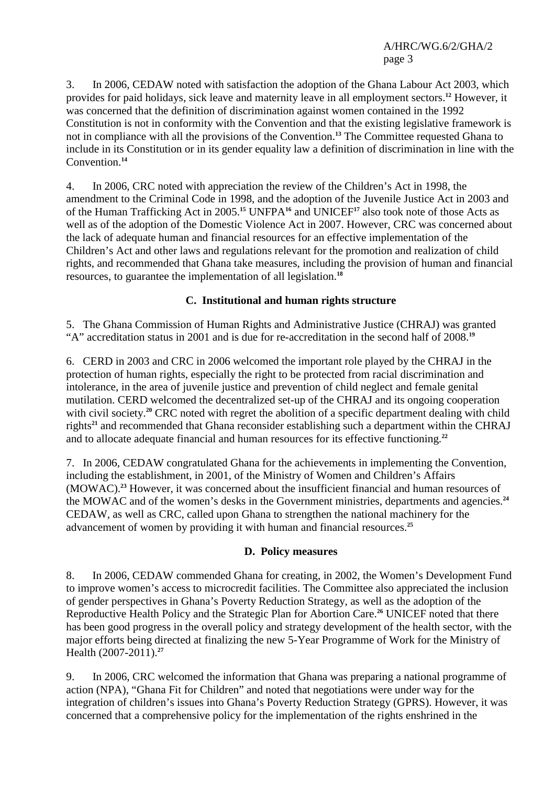3. In 2006, CEDAW noted with satisfaction the adoption of the Ghana Labour Act 2003, which provides for paid holidays, sick leave and maternity leave in all employment sectors.**<sup>12</sup>** However, it was concerned that the definition of discrimination against women contained in the 1992 Constitution is not in conformity with the Convention and that the existing legislative framework is not in compliance with all the provisions of the Convention.**<sup>13</sup>** The Committee requested Ghana to include in its Constitution or in its gender equality law a definition of discrimination in line with the Convention.**<sup>14</sup>**

4. In 2006, CRC noted with appreciation the review of the Children's Act in 1998, the amendment to the Criminal Code in 1998, and the adoption of the Juvenile Justice Act in 2003 and of the Human Trafficking Act in 2005.**<sup>15</sup>** UNFPA**<sup>16</sup>** and UNICEF**<sup>17</sup>** also took note of those Acts as well as of the adoption of the Domestic Violence Act in 2007. However, CRC was concerned about the lack of adequate human and financial resources for an effective implementation of the Children's Act and other laws and regulations relevant for the promotion and realization of child rights, and recommended that Ghana take measures, including the provision of human and financial resources, to guarantee the implementation of all legislation.**<sup>18</sup>**

## **C. Institutional and human rights structure**

5. The Ghana Commission of Human Rights and Administrative Justice (CHRAJ) was granted "A" accreditation status in 2001 and is due for re-accreditation in the second half of 2008.**<sup>19</sup>**

6. CERD in 2003 and CRC in 2006 welcomed the important role played by the CHRAJ in the protection of human rights, especially the right to be protected from racial discrimination and intolerance, in the area of juvenile justice and prevention of child neglect and female genital mutilation. CERD welcomed the decentralized set-up of the CHRAJ and its ongoing cooperation with civil society.<sup>20</sup> CRC noted with regret the abolition of a specific department dealing with child rights**<sup>21</sup>** and recommended that Ghana reconsider establishing such a department within the CHRAJ and to allocate adequate financial and human resources for its effective functioning.**<sup>22</sup>**

7. In 2006, CEDAW congratulated Ghana for the achievements in implementing the Convention, including the establishment, in 2001, of the Ministry of Women and Children's Affairs (MOWAC).**<sup>23</sup>** However, it was concerned about the insufficient financial and human resources of the MOWAC and of the women's desks in the Government ministries, departments and agencies.**<sup>24</sup>** CEDAW, as well as CRC, called upon Ghana to strengthen the national machinery for the advancement of women by providing it with human and financial resources.**<sup>25</sup>**

#### **D. Policy measures**

8. In 2006, CEDAW commended Ghana for creating, in 2002, the Women's Development Fund to improve women's access to microcredit facilities. The Committee also appreciated the inclusion of gender perspectives in Ghana's Poverty Reduction Strategy, as well as the adoption of the Reproductive Health Policy and the Strategic Plan for Abortion Care.**<sup>26</sup>** UNICEF noted that there has been good progress in the overall policy and strategy development of the health sector, with the major efforts being directed at finalizing the new 5-Year Programme of Work for the Ministry of Health (2007-2011).**<sup>27</sup>**

9. In 2006, CRC welcomed the information that Ghana was preparing a national programme of action (NPA), "Ghana Fit for Children" and noted that negotiations were under way for the integration of children's issues into Ghana's Poverty Reduction Strategy (GPRS). However, it was concerned that a comprehensive policy for the implementation of the rights enshrined in the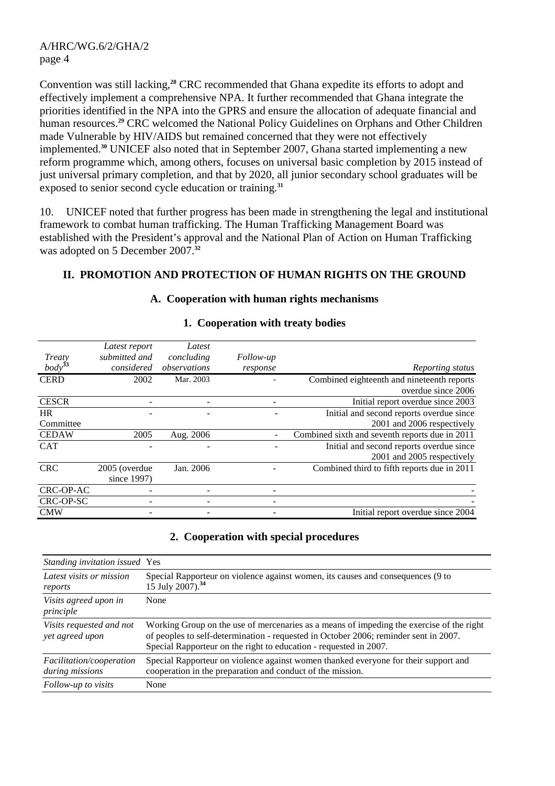Convention was still lacking,**<sup>28</sup>** CRC recommended that Ghana expedite its efforts to adopt and effectively implement a comprehensive NPA. It further recommended that Ghana integrate the priorities identified in the NPA into the GPRS and ensure the allocation of adequate financial and human resources.**<sup>29</sup>** CRC welcomed the National Policy Guidelines on Orphans and Other Children made Vulnerable by HIV/AIDS but remained concerned that they were not effectively implemented.**<sup>30</sup>** UNICEF also noted that in September 2007, Ghana started implementing a new reform programme which, among others, focuses on universal basic completion by 2015 instead of just universal primary completion, and that by 2020, all junior secondary school graduates will be exposed to senior second cycle education or training.**<sup>31</sup>**

10. UNICEF noted that further progress has been made in strengthening the legal and institutional framework to combat human trafficking. The Human Trafficking Management Board was established with the President's approval and the National Plan of Action on Human Trafficking was adopted on 5 December 2007.**<sup>32</sup>**

## **II. PROMOTION AND PROTECTION OF HUMAN RIGHTS ON THE GROUND**

|              | Latest report | Latest       |           |                                                |
|--------------|---------------|--------------|-----------|------------------------------------------------|
| Treaty       | submitted and | concluding   | Follow-up |                                                |
| $body^{33}$  | considered    | observations | response  | Reporting status                               |
| <b>CERD</b>  | 2002          | Mar. 2003    |           | Combined eighteenth and nineteenth reports     |
|              |               |              |           | overdue since 2006                             |
| <b>CESCR</b> |               |              |           | Initial report overdue since 2003              |
| <b>HR</b>    |               |              |           | Initial and second reports overdue since       |
| Committee    |               |              |           | 2001 and 2006 respectively                     |
| <b>CEDAW</b> | 2005          | Aug. 2006    |           | Combined sixth and seventh reports due in 2011 |
| <b>CAT</b>   |               |              |           | Initial and second reports overdue since       |
|              |               |              |           | 2001 and 2005 respectively                     |
| <b>CRC</b>   | 2005 (overdue | Jan. 2006    |           | Combined third to fifth reports due in 2011    |
|              | since 1997)   |              |           |                                                |
| CRC-OP-AC    |               |              |           |                                                |
| CRC-OP-SC    |               |              |           |                                                |
| <b>CMW</b>   |               |              |           | Initial report overdue since 2004              |

### **1. Cooperation with treaty bodies**

**A. Cooperation with human rights mechanisms** 

## **2. Cooperation with special procedures**

| Standing invitation issued Yes              |                                                                                                                                                                                                                                                       |
|---------------------------------------------|-------------------------------------------------------------------------------------------------------------------------------------------------------------------------------------------------------------------------------------------------------|
| Latest visits or mission<br>reports         | Special Rapporteur on violence against women, its causes and consequences (9 to<br>15 July 2007). <sup>34</sup>                                                                                                                                       |
| Visits agreed upon in<br>principle          | None                                                                                                                                                                                                                                                  |
| Visits requested and not<br>yet agreed upon | Working Group on the use of mercenaries as a means of impeding the exercise of the right<br>of peoples to self-determination - requested in October 2006; reminder sent in 2007.<br>Special Rapporteur on the right to education - requested in 2007. |
| Facilitation/cooperation<br>during missions | Special Rapporteur on violence against women thanked everyone for their support and<br>cooperation in the preparation and conduct of the mission.                                                                                                     |
| Follow-up to visits                         | None                                                                                                                                                                                                                                                  |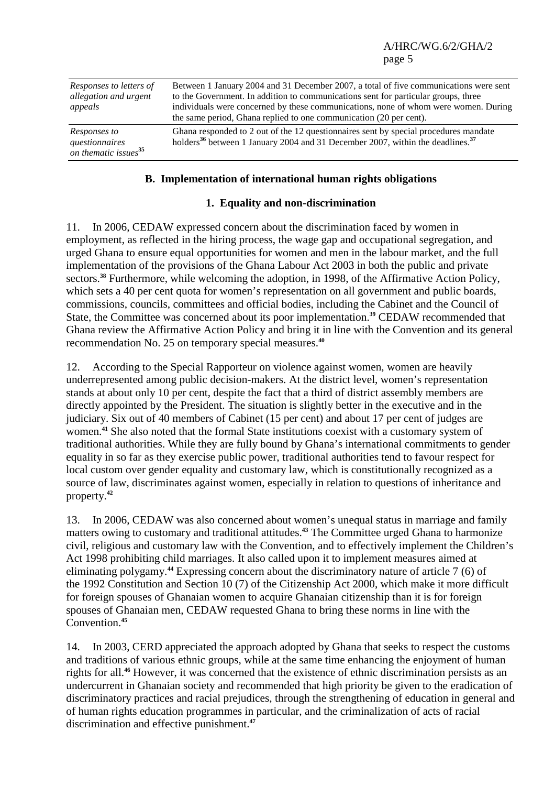| Responses to letters of<br>allegation and urgent<br>appeals        | Between 1 January 2004 and 31 December 2007, a total of five communications were sent<br>to the Government. In addition to communications sent for particular groups, three<br>individuals were concerned by these communications, none of whom were women. During<br>the same period, Ghana replied to one communication (20 per cent). |
|--------------------------------------------------------------------|------------------------------------------------------------------------------------------------------------------------------------------------------------------------------------------------------------------------------------------------------------------------------------------------------------------------------------------|
| Responses to<br>questionnaires<br>on thematic issues <sup>35</sup> | Ghana responded to 2 out of the 12 questionnaires sent by special procedures mandate<br>holders <sup>36</sup> between 1 January 2004 and 31 December 2007, within the deadlines. <sup>37</sup>                                                                                                                                           |

### **B. Implementation of international human rights obligations**

### **1. Equality and non-discrimination**

11. In 2006, CEDAW expressed concern about the discrimination faced by women in employment, as reflected in the hiring process, the wage gap and occupational segregation, and urged Ghana to ensure equal opportunities for women and men in the labour market, and the full implementation of the provisions of the Ghana Labour Act 2003 in both the public and private sectors.**<sup>38</sup>** Furthermore, while welcoming the adoption, in 1998, of the Affirmative Action Policy, which sets a 40 per cent quota for women's representation on all government and public boards, commissions, councils, committees and official bodies, including the Cabinet and the Council of State, the Committee was concerned about its poor implementation.**<sup>39</sup>** CEDAW recommended that Ghana review the Affirmative Action Policy and bring it in line with the Convention and its general recommendation No. 25 on temporary special measures.**<sup>40</sup>**

12. According to the Special Rapporteur on violence against women, women are heavily underrepresented among public decision-makers. At the district level, women's representation stands at about only 10 per cent, despite the fact that a third of district assembly members are directly appointed by the President. The situation is slightly better in the executive and in the judiciary. Six out of 40 members of Cabinet (15 per cent) and about 17 per cent of judges are women.**<sup>41</sup>** She also noted that the formal State institutions coexist with a customary system of traditional authorities. While they are fully bound by Ghana's international commitments to gender equality in so far as they exercise public power, traditional authorities tend to favour respect for local custom over gender equality and customary law, which is constitutionally recognized as a source of law, discriminates against women, especially in relation to questions of inheritance and property.**<sup>42</sup>**

13. In 2006, CEDAW was also concerned about women's unequal status in marriage and family matters owing to customary and traditional attitudes.**<sup>43</sup>** The Committee urged Ghana to harmonize civil, religious and customary law with the Convention, and to effectively implement the Children's Act 1998 prohibiting child marriages. It also called upon it to implement measures aimed at eliminating polygamy.**<sup>44</sup>** Expressing concern about the discriminatory nature of article 7 (6) of the 1992 Constitution and Section 10 (7) of the Citizenship Act 2000, which make it more difficult for foreign spouses of Ghanaian women to acquire Ghanaian citizenship than it is for foreign spouses of Ghanaian men, CEDAW requested Ghana to bring these norms in line with the Convention.**<sup>45</sup>**

14. In 2003, CERD appreciated the approach adopted by Ghana that seeks to respect the customs and traditions of various ethnic groups, while at the same time enhancing the enjoyment of human rights for all.**<sup>46</sup>** However, it was concerned that the existence of ethnic discrimination persists as an undercurrent in Ghanaian society and recommended that high priority be given to the eradication of discriminatory practices and racial prejudices, through the strengthening of education in general and of human rights education programmes in particular, and the criminalization of acts of racial discrimination and effective punishment.**47**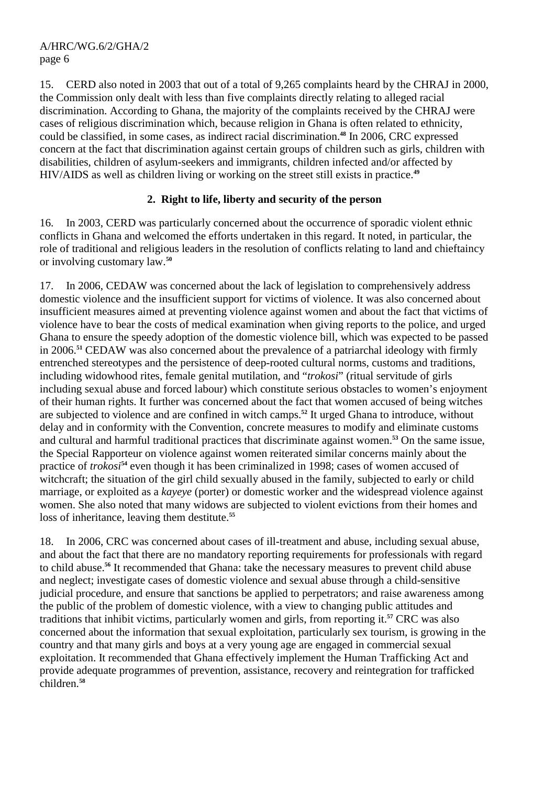15. CERD also noted in 2003 that out of a total of 9,265 complaints heard by the CHRAJ in 2000, the Commission only dealt with less than five complaints directly relating to alleged racial discrimination. According to Ghana, the majority of the complaints received by the CHRAJ were cases of religious discrimination which, because religion in Ghana is often related to ethnicity, could be classified, in some cases, as indirect racial discrimination.**<sup>48</sup>** In 2006, CRC expressed concern at the fact that discrimination against certain groups of children such as girls, children with disabilities, children of asylum-seekers and immigrants, children infected and/or affected by HIV/AIDS as well as children living or working on the street still exists in practice.**<sup>49</sup>**

## **2. Right to life, liberty and security of the person**

16. In 2003, CERD was particularly concerned about the occurrence of sporadic violent ethnic conflicts in Ghana and welcomed the efforts undertaken in this regard. It noted, in particular, the role of traditional and religious leaders in the resolution of conflicts relating to land and chieftaincy or involving customary law.**<sup>50</sup>**

17. In 2006, CEDAW was concerned about the lack of legislation to comprehensively address domestic violence and the insufficient support for victims of violence. It was also concerned about insufficient measures aimed at preventing violence against women and about the fact that victims of violence have to bear the costs of medical examination when giving reports to the police, and urged Ghana to ensure the speedy adoption of the domestic violence bill, which was expected to be passed in 2006.**<sup>51</sup>** CEDAW was also concerned about the prevalence of a patriarchal ideology with firmly entrenched stereotypes and the persistence of deep-rooted cultural norms, customs and traditions, including widowhood rites, female genital mutilation, and "*trokosi*" (ritual servitude of girls including sexual abuse and forced labour) which constitute serious obstacles to women's enjoyment of their human rights. It further was concerned about the fact that women accused of being witches are subjected to violence and are confined in witch camps.**<sup>52</sup>** It urged Ghana to introduce, without delay and in conformity with the Convention, concrete measures to modify and eliminate customs and cultural and harmful traditional practices that discriminate against women.**<sup>53</sup>** On the same issue, the Special Rapporteur on violence against women reiterated similar concerns mainly about the practice of *trokosi***<sup>54</sup>** even though it has been criminalized in 1998; cases of women accused of witchcraft; the situation of the girl child sexually abused in the family, subjected to early or child marriage, or exploited as a *kayeye* (porter) or domestic worker and the widespread violence against women. She also noted that many widows are subjected to violent evictions from their homes and loss of inheritance, leaving them destitute.**<sup>55</sup>**

18. In 2006, CRC was concerned about cases of ill-treatment and abuse, including sexual abuse, and about the fact that there are no mandatory reporting requirements for professionals with regard to child abuse.**<sup>56</sup>** It recommended that Ghana: take the necessary measures to prevent child abuse and neglect; investigate cases of domestic violence and sexual abuse through a child-sensitive judicial procedure, and ensure that sanctions be applied to perpetrators; and raise awareness among the public of the problem of domestic violence, with a view to changing public attitudes and traditions that inhibit victims, particularly women and girls, from reporting it.**<sup>57</sup>** CRC was also concerned about the information that sexual exploitation, particularly sex tourism, is growing in the country and that many girls and boys at a very young age are engaged in commercial sexual exploitation. It recommended that Ghana effectively implement the Human Trafficking Act and provide adequate programmes of prevention, assistance, recovery and reintegration for trafficked children.**58**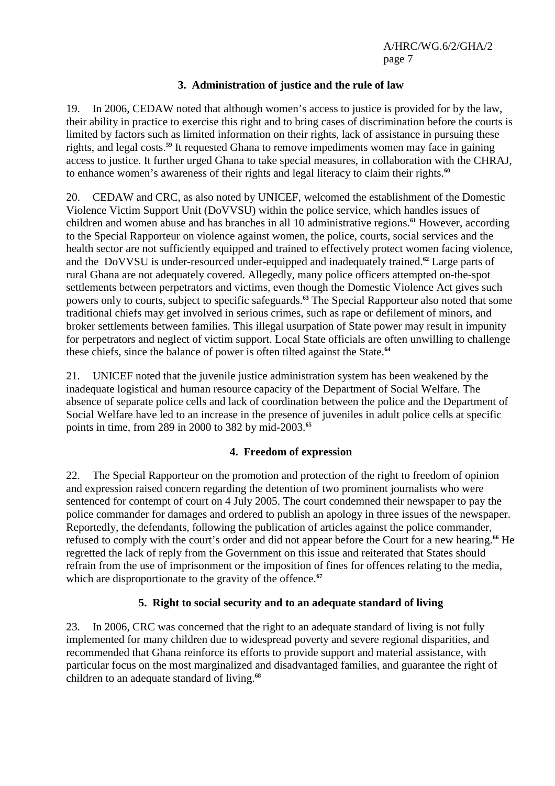## **3. Administration of justice and the rule of law**

19. In 2006, CEDAW noted that although women's access to justice is provided for by the law, their ability in practice to exercise this right and to bring cases of discrimination before the courts is limited by factors such as limited information on their rights, lack of assistance in pursuing these rights, and legal costs.**<sup>59</sup>** It requested Ghana to remove impediments women may face in gaining access to justice. It further urged Ghana to take special measures, in collaboration with the CHRAJ, to enhance women's awareness of their rights and legal literacy to claim their rights.**<sup>60</sup>**

20. CEDAW and CRC, as also noted by UNICEF, welcomed the establishment of the Domestic Violence Victim Support Unit (DoVVSU) within the police service, which handles issues of children and women abuse and has branches in all 10 administrative regions.**<sup>61</sup>** However, according to the Special Rapporteur on violence against women, the police, courts, social services and the health sector are not sufficiently equipped and trained to effectively protect women facing violence, and the DoVVSU is under-resourced under-equipped and inadequately trained.**<sup>62</sup>** Large parts of rural Ghana are not adequately covered. Allegedly, many police officers attempted on-the-spot settlements between perpetrators and victims, even though the Domestic Violence Act gives such powers only to courts, subject to specific safeguards.**<sup>63</sup>** The Special Rapporteur also noted that some traditional chiefs may get involved in serious crimes, such as rape or defilement of minors, and broker settlements between families. This illegal usurpation of State power may result in impunity for perpetrators and neglect of victim support. Local State officials are often unwilling to challenge these chiefs, since the balance of power is often tilted against the State.**<sup>64</sup>**

21. UNICEF noted that the juvenile justice administration system has been weakened by the inadequate logistical and human resource capacity of the Department of Social Welfare. The absence of separate police cells and lack of coordination between the police and the Department of Social Welfare have led to an increase in the presence of juveniles in adult police cells at specific points in time, from 289 in 2000 to 382 by mid-2003.**<sup>65</sup>**

## **4. Freedom of expression**

22. The Special Rapporteur on the promotion and protection of the right to freedom of opinion and expression raised concern regarding the detention of two prominent journalists who were sentenced for contempt of court on 4 July 2005. The court condemned their newspaper to pay the police commander for damages and ordered to publish an apology in three issues of the newspaper. Reportedly, the defendants, following the publication of articles against the police commander, refused to comply with the court's order and did not appear before the Court for a new hearing.**<sup>66</sup>** He regretted the lack of reply from the Government on this issue and reiterated that States should refrain from the use of imprisonment or the imposition of fines for offences relating to the media, which are disproportionate to the gravity of the offence.<sup>67</sup>

## **5. Right to social security and to an adequate standard of living**

23. In 2006, CRC was concerned that the right to an adequate standard of living is not fully implemented for many children due to widespread poverty and severe regional disparities, and recommended that Ghana reinforce its efforts to provide support and material assistance, with particular focus on the most marginalized and disadvantaged families, and guarantee the right of children to an adequate standard of living.**68**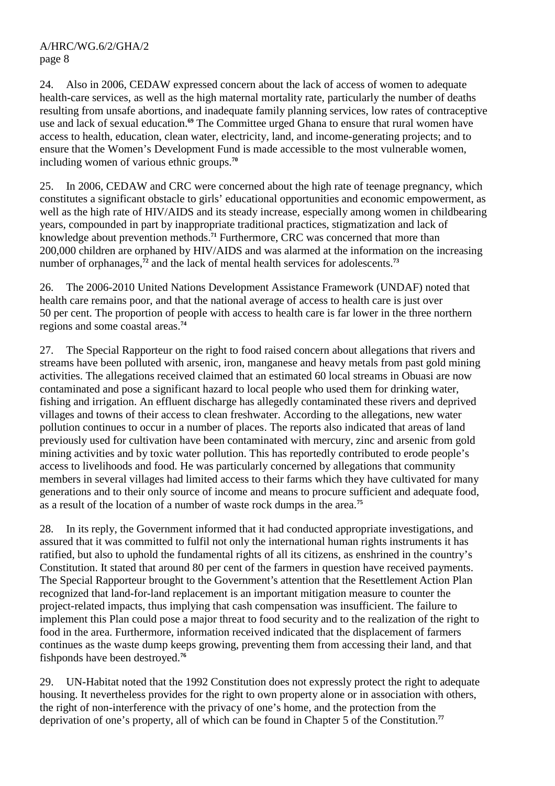24. Also in 2006, CEDAW expressed concern about the lack of access of women to adequate health-care services, as well as the high maternal mortality rate, particularly the number of deaths resulting from unsafe abortions, and inadequate family planning services, low rates of contraceptive use and lack of sexual education.**<sup>69</sup>** The Committee urged Ghana to ensure that rural women have access to health, education, clean water, electricity, land, and income-generating projects; and to ensure that the Women's Development Fund is made accessible to the most vulnerable women, including women of various ethnic groups.**<sup>70</sup>**

25. In 2006, CEDAW and CRC were concerned about the high rate of teenage pregnancy, which constitutes a significant obstacle to girls' educational opportunities and economic empowerment, as well as the high rate of HIV/AIDS and its steady increase, especially among women in childbearing years, compounded in part by inappropriate traditional practices, stigmatization and lack of knowledge about prevention methods.**<sup>71</sup>** Furthermore, CRC was concerned that more than 200,000 children are orphaned by HIV/AIDS and was alarmed at the information on the increasing number of orphanages,<sup> $72$ </sup> and the lack of mental health services for adolescents.<sup>73</sup>

26. The 2006-2010 United Nations Development Assistance Framework (UNDAF) noted that health care remains poor, and that the national average of access to health care is just over 50 per cent. The proportion of people with access to health care is far lower in the three northern regions and some coastal areas.**<sup>74</sup>**

27. The Special Rapporteur on the right to food raised concern about allegations that rivers and streams have been polluted with arsenic, iron, manganese and heavy metals from past gold mining activities. The allegations received claimed that an estimated 60 local streams in Obuasi are now contaminated and pose a significant hazard to local people who used them for drinking water, fishing and irrigation. An effluent discharge has allegedly contaminated these rivers and deprived villages and towns of their access to clean freshwater. According to the allegations, new water pollution continues to occur in a number of places. The reports also indicated that areas of land previously used for cultivation have been contaminated with mercury, zinc and arsenic from gold mining activities and by toxic water pollution. This has reportedly contributed to erode people's access to livelihoods and food. He was particularly concerned by allegations that community members in several villages had limited access to their farms which they have cultivated for many generations and to their only source of income and means to procure sufficient and adequate food, as a result of the location of a number of waste rock dumps in the area.**<sup>75</sup>**

28. In its reply, the Government informed that it had conducted appropriate investigations, and assured that it was committed to fulfil not only the international human rights instruments it has ratified, but also to uphold the fundamental rights of all its citizens, as enshrined in the country's Constitution. It stated that around 80 per cent of the farmers in question have received payments. The Special Rapporteur brought to the Government's attention that the Resettlement Action Plan recognized that land-for-land replacement is an important mitigation measure to counter the project-related impacts, thus implying that cash compensation was insufficient. The failure to implement this Plan could pose a major threat to food security and to the realization of the right to food in the area. Furthermore, information received indicated that the displacement of farmers continues as the waste dump keeps growing, preventing them from accessing their land, and that fishponds have been destroyed.**<sup>76</sup>**

29. UN-Habitat noted that the 1992 Constitution does not expressly protect the right to adequate housing. It nevertheless provides for the right to own property alone or in association with others, the right of non-interference with the privacy of one's home, and the protection from the deprivation of one's property, all of which can be found in Chapter 5 of the Constitution.**77**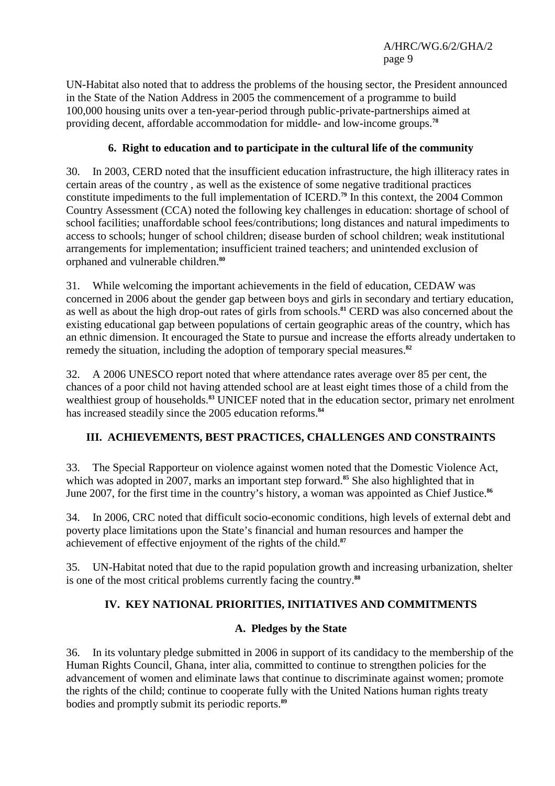UN-Habitat also noted that to address the problems of the housing sector, the President announced in the State of the Nation Address in 2005 the commencement of a programme to build 100,000 housing units over a ten-year-period through public-private-partnerships aimed at providing decent, affordable accommodation for middle- and low-income groups.**<sup>78</sup>**

## **6. Right to education and to participate in the cultural life of the community**

30. In 2003, CERD noted that the insufficient education infrastructure, the high illiteracy rates in certain areas of the country , as well as the existence of some negative traditional practices constitute impediments to the full implementation of ICERD.**<sup>79</sup>** In this context, the 2004 Common Country Assessment (CCA) noted the following key challenges in education: shortage of school of school facilities; unaffordable school fees/contributions; long distances and natural impediments to access to schools; hunger of school children; disease burden of school children; weak institutional arrangements for implementation; insufficient trained teachers; and unintended exclusion of orphaned and vulnerable children.**<sup>80</sup>**

31. While welcoming the important achievements in the field of education, CEDAW was concerned in 2006 about the gender gap between boys and girls in secondary and tertiary education, as well as about the high drop-out rates of girls from schools.**<sup>81</sup>** CERD was also concerned about the existing educational gap between populations of certain geographic areas of the country, which has an ethnic dimension. It encouraged the State to pursue and increase the efforts already undertaken to remedy the situation, including the adoption of temporary special measures.**<sup>82</sup>**

32. A 2006 UNESCO report noted that where attendance rates average over 85 per cent, the chances of a poor child not having attended school are at least eight times those of a child from the wealthiest group of households.**<sup>83</sup>** UNICEF noted that in the education sector, primary net enrolment has increased steadily since the 2005 education reforms.**<sup>84</sup>**

# **III. ACHIEVEMENTS, BEST PRACTICES, CHALLENGES AND CONSTRAINTS**

33. The Special Rapporteur on violence against women noted that the Domestic Violence Act, which was adopted in 2007, marks an important step forward.<sup>85</sup> She also highlighted that in June 2007, for the first time in the country's history, a woman was appointed as Chief Justice.**<sup>86</sup>**

34. In 2006, CRC noted that difficult socio-economic conditions, high levels of external debt and poverty place limitations upon the State's financial and human resources and hamper the achievement of effective enjoyment of the rights of the child.**<sup>87</sup>**

35. UN-Habitat noted that due to the rapid population growth and increasing urbanization, shelter is one of the most critical problems currently facing the country.**<sup>88</sup>**

# **IV. KEY NATIONAL PRIORITIES, INITIATIVES AND COMMITMENTS**

## **A. Pledges by the State**

36. In its voluntary pledge submitted in 2006 in support of its candidacy to the membership of the Human Rights Council, Ghana, inter alia, committed to continue to strengthen policies for the advancement of women and eliminate laws that continue to discriminate against women; promote the rights of the child; continue to cooperate fully with the United Nations human rights treaty bodies and promptly submit its periodic reports.**89**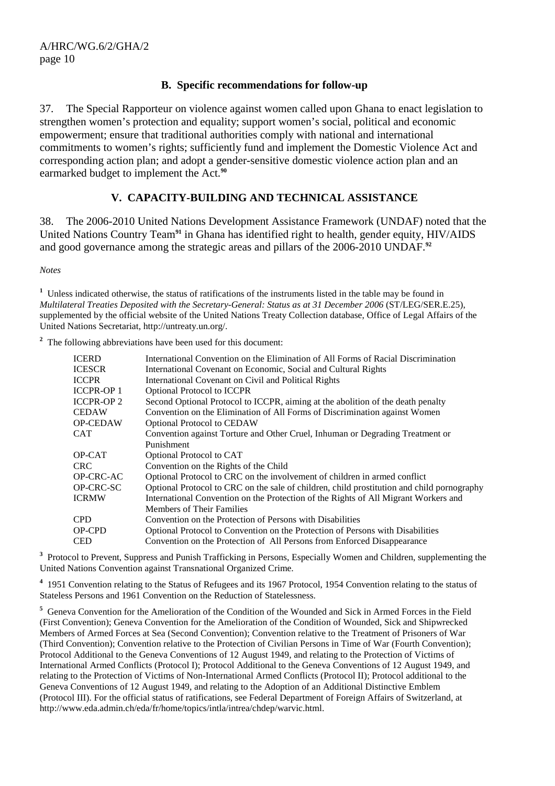### **B. Specific recommendations for follow-up**

37. The Special Rapporteur on violence against women called upon Ghana to enact legislation to strengthen women's protection and equality; support women's social, political and economic empowerment; ensure that traditional authorities comply with national and international commitments to women's rights; sufficiently fund and implement the Domestic Violence Act and corresponding action plan; and adopt a gender-sensitive domestic violence action plan and an earmarked budget to implement the Act.**<sup>90</sup>**

### **V. CAPACITY-BUILDING AND TECHNICAL ASSISTANCE**

38. The 2006-2010 United Nations Development Assistance Framework (UNDAF) noted that the United Nations Country Team**<sup>91</sup>** in Ghana has identified right to health, gender equity, HIV/AIDS and good governance among the strategic areas and pillars of the 2006-2010 UNDAF.**<sup>92</sup>**

*Notes* 

<sup>1</sup> Unless indicated otherwise, the status of ratifications of the instruments listed in the table may be found in *Multilateral Treaties Deposited with the Secretary-General: Status as at 31 December 2006* (ST/LEG/SER.E.25), supplemented by the official website of the United Nations Treaty Collection database, Office of Legal Affairs of the United Nations Secretariat, http://untreaty.un.org/.

<sup>2</sup> The following abbreviations have been used for this document:

| ICERD      | International Convention on the Elimination of All Forms of Racial Discrimination          |
|------------|--------------------------------------------------------------------------------------------|
| ICESCR     | International Covenant on Economic, Social and Cultural Rights                             |
| ICCPR      | International Covenant on Civil and Political Rights                                       |
| ICCPR-OP 1 | <b>Optional Protocol to ICCPR</b>                                                          |
| ICCPR-OP 2 | Second Optional Protocol to ICCPR, aiming at the abolition of the death penalty            |
| CEDAW      | Convention on the Elimination of All Forms of Discrimination against Women                 |
| OP-CEDAW   | <b>Optional Protocol to CEDAW</b>                                                          |
| CAT        | Convention against Torture and Other Cruel, Inhuman or Degrading Treatment or              |
|            | Punishment                                                                                 |
| OP-CAT     | Optional Protocol to CAT                                                                   |
| CRC-       | Convention on the Rights of the Child                                                      |
| OP-CRC-AC  | Optional Protocol to CRC on the involvement of children in armed conflict                  |
| OP-CRC-SC  | Optional Protocol to CRC on the sale of children, child prostitution and child pornography |
| ICRMW      | International Convention on the Protection of the Rights of All Migrant Workers and        |
|            | <b>Members of Their Families</b>                                                           |
| CPD.       | Convention on the Protection of Persons with Disabilities                                  |
| OP-CPD     | Optional Protocol to Convention on the Protection of Persons with Disabilities             |
| CED        | Convention on the Protection of All Persons from Enforced Disappearance                    |
|            |                                                                                            |

<sup>3</sup> Protocol to Prevent, Suppress and Punish Trafficking in Persons, Especially Women and Children, supplementing the United Nations Convention against Transnational Organized Crime.

<sup>4</sup> 1951 Convention relating to the Status of Refugees and its 1967 Protocol, 1954 Convention relating to the status of Stateless Persons and 1961 Convention on the Reduction of Statelessness.

<sup>5</sup> Geneva Convention for the Amelioration of the Condition of the Wounded and Sick in Armed Forces in the Field (First Convention); Geneva Convention for the Amelioration of the Condition of Wounded, Sick and Shipwrecked Members of Armed Forces at Sea (Second Convention); Convention relative to the Treatment of Prisoners of War (Third Convention); Convention relative to the Protection of Civilian Persons in Time of War (Fourth Convention); Protocol Additional to the Geneva Conventions of 12 August 1949, and relating to the Protection of Victims of International Armed Conflicts (Protocol I); Protocol Additional to the Geneva Conventions of 12 August 1949, and relating to the Protection of Victims of Non-International Armed Conflicts (Protocol II); Protocol additional to the Geneva Conventions of 12 August 1949, and relating to the Adoption of an Additional Distinctive Emblem (Protocol III). For the official status of ratifications, see Federal Department of Foreign Affairs of Switzerland, at http://www.eda.admin.ch/eda/fr/home/topics/intla/intrea/chdep/warvic.html.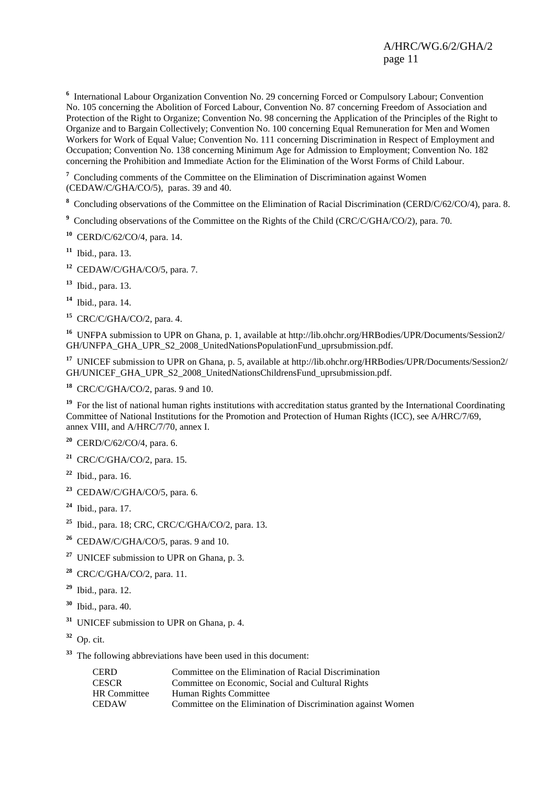<sup>6</sup> International Labour Organization Convention No. 29 concerning Forced or Compulsory Labour; Convention No. 105 concerning the Abolition of Forced Labour, Convention No. 87 concerning Freedom of Association and Protection of the Right to Organize; Convention No. 98 concerning the Application of the Principles of the Right to Organize and to Bargain Collectively; Convention No. 100 concerning Equal Remuneration for Men and Women Workers for Work of Equal Value; Convention No. 111 concerning Discrimination in Respect of Employment and Occupation; Convention No. 138 concerning Minimum Age for Admission to Employment; Convention No. 182 concerning the Prohibition and Immediate Action for the Elimination of the Worst Forms of Child Labour.

<sup>7</sup> Concluding comments of the Committee on the Elimination of Discrimination against Women (CEDAW/C/GHA/CO/5), paras. 39 and 40.

**8** Concluding observations of the Committee on the Elimination of Racial Discrimination (CERD/C/62/CO/4), para. 8.

<sup>9</sup> Concluding observations of the Committee on the Rights of the Child (CRC/C/GHA/CO/2), para. 70.

**<sup>10</sup>** CERD/C/62/CO/4, para. 14.

**<sup>11</sup>** Ibid., para. 13.

**<sup>12</sup>** CEDAW/C/GHA/CO/5, para. 7.

**<sup>13</sup>** Ibid., para. 13.

**<sup>14</sup>** Ibid., para. 14.

**<sup>15</sup>** CRC/C/GHA/CO/2, para. 4.

**<sup>16</sup>** UNFPA submission to UPR on Ghana, p. 1, available at http://lib.ohchr.org/HRBodies/UPR/Documents/Session2/ GH/UNFPA\_GHA\_UPR\_S2\_2008\_UnitedNationsPopulationFund\_uprsubmission.pdf.

**<sup>17</sup>** UNICEF submission to UPR on Ghana, p. 5, available at http://lib.ohchr.org/HRBodies/UPR/Documents/Session2/ GH/UNICEF\_GHA\_UPR\_S2\_2008\_UnitedNationsChildrensFund\_uprsubmission.pdf.

**<sup>18</sup>** CRC/C/GHA/CO/2, paras. 9 and 10.

<sup>19</sup> For the list of national human rights institutions with accreditation status granted by the International Coordinating Committee of National Institutions for the Promotion and Protection of Human Rights (ICC), see A/HRC/7/69, annex VIII, and A/HRC/7/70, annex I.

**<sup>20</sup>** CERD/C/62/CO/4, para. 6.

**<sup>21</sup>** CRC/C/GHA/CO/2, para. 15.

- **<sup>22</sup>** Ibid., para. 16.
- **<sup>23</sup>** CEDAW/C/GHA/CO/5, para. 6.
- **<sup>24</sup>** Ibid., para. 17.
- **<sup>25</sup>** Ibid., para. 18; CRC, CRC/C/GHA/CO/2, para. 13.
- **<sup>26</sup>** CEDAW/C/GHA/CO/5, paras. 9 and 10.
- **<sup>27</sup>** UNICEF submission to UPR on Ghana, p. 3.
- **<sup>28</sup>** CRC/C/GHA/CO/2, para. 11.
- **<sup>29</sup>** Ibid., para. 12.
- **<sup>30</sup>** Ibid., para. 40.
- **<sup>31</sup>** UNICEF submission to UPR on Ghana, p. 4.
- **<sup>32</sup>** Op. cit.
- **<sup>33</sup>** The following abbreviations have been used in this document:

| <b>CERD</b>         | Committee on the Elimination of Racial Discrimination        |
|---------------------|--------------------------------------------------------------|
| <b>CESCR</b>        | Committee on Economic, Social and Cultural Rights            |
| <b>HR</b> Committee | Human Rights Committee                                       |
| <b>CEDAW</b>        | Committee on the Elimination of Discrimination against Women |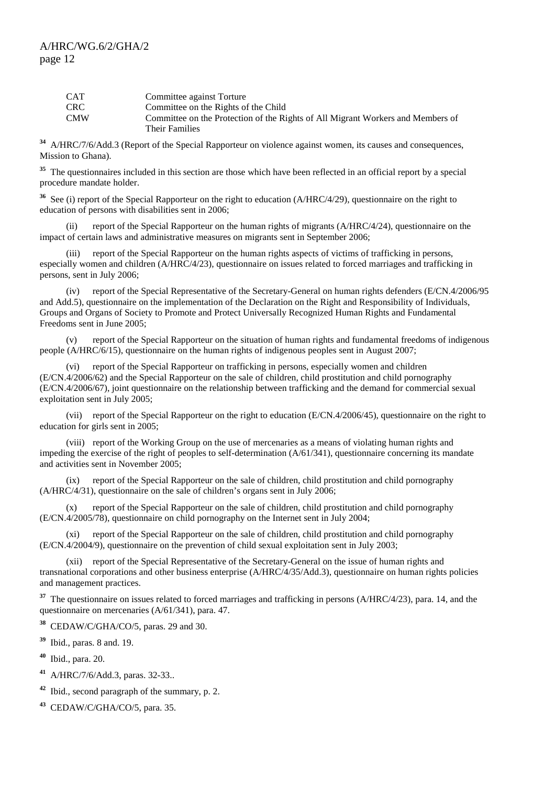| <b>CAT</b> | Committee against Torture                                                       |
|------------|---------------------------------------------------------------------------------|
| <b>CRC</b> | Committee on the Rights of the Child                                            |
| <b>CMW</b> | Committee on the Protection of the Rights of All Migrant Workers and Members of |
|            | Their Families                                                                  |

**<sup>34</sup>** A/HRC/7/6/Add.3 (Report of the Special Rapporteur on violence against women, its causes and consequences, Mission to Ghana).

<sup>35</sup> The questionnaires included in this section are those which have been reflected in an official report by a special procedure mandate holder.

<sup>36</sup> See (i) report of the Special Rapporteur on the right to education (A/HRC/4/29), questionnaire on the right to education of persons with disabilities sent in 2006;

 (ii) report of the Special Rapporteur on the human rights of migrants (A/HRC/4/24), questionnaire on the impact of certain laws and administrative measures on migrants sent in September 2006;

 (iii) report of the Special Rapporteur on the human rights aspects of victims of trafficking in persons, especially women and children (A/HRC/4/23), questionnaire on issues related to forced marriages and trafficking in persons, sent in July 2006;

 (iv) report of the Special Representative of the Secretary-General on human rights defenders (E/CN.4/2006/95 and Add.5), questionnaire on the implementation of the Declaration on the Right and Responsibility of Individuals, Groups and Organs of Society to Promote and Protect Universally Recognized Human Rights and Fundamental Freedoms sent in June 2005;

 (v) report of the Special Rapporteur on the situation of human rights and fundamental freedoms of indigenous people (A/HRC/6/15), questionnaire on the human rights of indigenous peoples sent in August 2007;

 (vi) report of the Special Rapporteur on trafficking in persons, especially women and children (E/CN.4/2006/62) and the Special Rapporteur on the sale of children, child prostitution and child pornography (E/CN.4/2006/67), joint questionnaire on the relationship between trafficking and the demand for commercial sexual exploitation sent in July 2005;

 (vii) report of the Special Rapporteur on the right to education (E/CN.4/2006/45), questionnaire on the right to education for girls sent in 2005;

 (viii) report of the Working Group on the use of mercenaries as a means of violating human rights and impeding the exercise of the right of peoples to self-determination (A/61/341), questionnaire concerning its mandate and activities sent in November 2005;

 (ix) report of the Special Rapporteur on the sale of children, child prostitution and child pornography (A/HRC/4/31), questionnaire on the sale of children's organs sent in July 2006;

 (x) report of the Special Rapporteur on the sale of children, child prostitution and child pornography (E/CN.4/2005/78), questionnaire on child pornography on the Internet sent in July 2004;

 (xi) report of the Special Rapporteur on the sale of children, child prostitution and child pornography (E/CN.4/2004/9), questionnaire on the prevention of child sexual exploitation sent in July 2003;

 (xii) report of the Special Representative of the Secretary-General on the issue of human rights and transnational corporations and other business enterprise (A/HRC/4/35/Add.3), questionnaire on human rights policies and management practices.

<sup>37</sup> The questionnaire on issues related to forced marriages and trafficking in persons (A/HRC/4/23), para. 14, and the questionnaire on mercenaries (A/61/341), para. 47.

**<sup>38</sup>** CEDAW/C/GHA/CO/5, paras. 29 and 30.

**<sup>39</sup>** Ibid., paras. 8 and. 19.

**<sup>40</sup>** Ibid., para. 20.

**<sup>41</sup>** A/HRC/7/6/Add.3, paras. 32-33..

**<sup>42</sup>** Ibid., second paragraph of the summary, p. 2.

**<sup>43</sup>** CEDAW/C/GHA/CO/5, para. 35.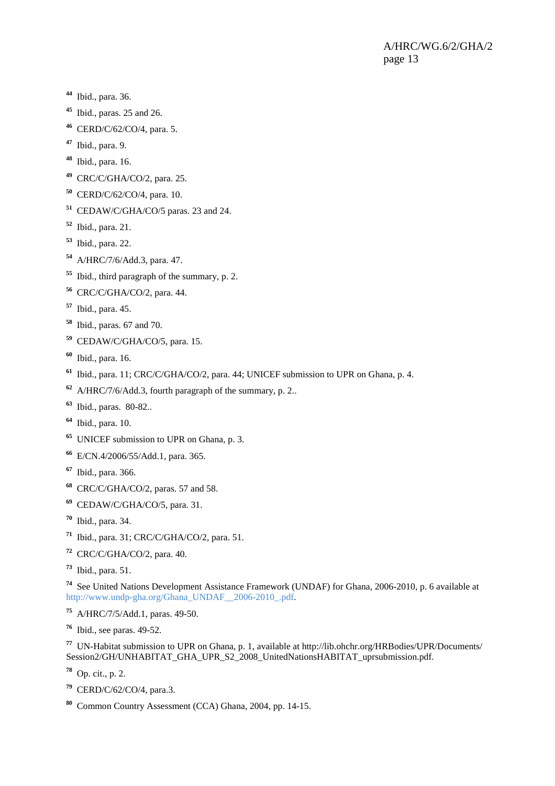- Ibid., para. 36.
- Ibid., paras. 25 and 26.
- CERD/C/62/CO/4, para. 5.
- Ibid., para. 9.
- Ibid., para. 16.
- CRC/C/GHA/CO/2, para. 25.
- CERD/C/62/CO/4, para. 10.
- CEDAW/C/GHA/CO/5 paras. 23 and 24.
- Ibid., para. 21.
- Ibid., para. 22.
- A/HRC/7/6/Add.3, para. 47.
- Ibid., third paragraph of the summary, p. 2.
- CRC/C/GHA/CO/2, para. 44.
- Ibid., para. 45.
- Ibid., paras. 67 and 70.
- CEDAW/C/GHA/CO/5, para. 15.
- Ibid., para. 16.
- Ibid., para. 11; CRC/C/GHA/CO/2, para. 44; UNICEF submission to UPR on Ghana, p. 4.
- A/HRC/7/6/Add.3, fourth paragraph of the summary, p. 2..
- Ibid., paras. 80-82..
- Ibid., para. 10.
- UNICEF submission to UPR on Ghana, p. 3.
- E/CN.4/2006/55/Add.1, para. 365.
- Ibid., para. 366.
- CRC/C/GHA/CO/2, paras. 57 and 58.
- CEDAW/C/GHA/CO/5, para. 31.
- Ibid., para. 34.
- Ibid., para. 31; CRC/C/GHA/CO/2, para. 51.
- CRC/C/GHA/CO/2, para. 40.
- Ibid., para. 51.

 See United Nations Development Assistance Framework (UNDAF) for Ghana, 2006-2010, p. 6 available at http://www.undp-gha.org/Ghana\_UNDAF\_\_2006-2010\_.pdf.

- A/HRC/7/5/Add.1, paras. 49-50.
- Ibid., see paras. 49-52.

 UN-Habitat submission to UPR on Ghana, p. 1, available at http://lib.ohchr.org/HRBodies/UPR/Documents/ Session2/GH/UNHABITAT\_GHA\_UPR\_S2\_2008\_UnitedNationsHABITAT\_uprsubmission.pdf.

Op. cit., p. 2.

- CERD/C/62/CO/4, para.3.
- Common Country Assessment (CCA) Ghana, 2004, pp. 14-15.